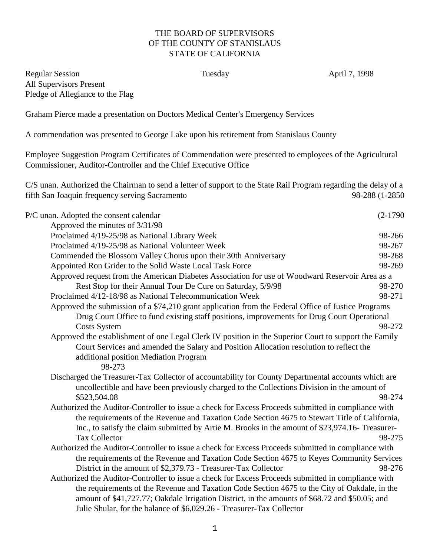## THE BOARD OF SUPERVISORS OF THE COUNTY OF STANISLAUS STATE OF CALIFORNIA

Regular Session Tuesday April 7, 1998 All Supervisors Present Pledge of Allegiance to the Flag

Graham Pierce made a presentation on Doctors Medical Center's Emergency Services

A commendation was presented to George Lake upon his retirement from Stanislaus County

Employee Suggestion Program Certificates of Commendation were presented to employees of the Agricultural Commissioner, Auditor-Controller and the Chief Executive Office

C/S unan. Authorized the Chairman to send a letter of support to the State Rail Program regarding the delay of a fifth San Joaquin frequency serving Sacramento 98-288 (1-2850

| P/C unan. Adopted the consent calendar                                                                                                     | $(2-1790)$ |
|--------------------------------------------------------------------------------------------------------------------------------------------|------------|
| Approved the minutes of 3/31/98                                                                                                            |            |
| Proclaimed 4/19-25/98 as National Library Week                                                                                             | 98-266     |
| Proclaimed 4/19-25/98 as National Volunteer Week                                                                                           | 98-267     |
| Commended the Blossom Valley Chorus upon their 30th Anniversary                                                                            | 98-268     |
| Appointed Ron Grider to the Solid Waste Local Task Force                                                                                   | 98-269     |
| Approved request from the American Diabetes Association for use of Woodward Reservoir Area as a                                            |            |
| Rest Stop for their Annual Tour De Cure on Saturday, 5/9/98                                                                                | 98-270     |
| Proclaimed 4/12-18/98 as National Telecommunication Week                                                                                   | 98-271     |
| Approved the submission of a \$74,210 grant application from the Federal Office of Justice Programs                                        |            |
| Drug Court Office to fund existing staff positions, improvements for Drug Court Operational                                                |            |
| <b>Costs System</b>                                                                                                                        | 98-272     |
| Approved the establishment of one Legal Clerk IV position in the Superior Court to support the Family                                      |            |
| Court Services and amended the Salary and Position Allocation resolution to reflect the<br>additional position Mediation Program<br>98-273 |            |
| Discharged the Treasurer-Tax Collector of accountability for County Departmental accounts which are                                        |            |
| uncollectible and have been previously charged to the Collections Division in the amount of                                                |            |
| \$523,504.08                                                                                                                               | 98-274     |
| Authorized the Auditor-Controller to issue a check for Excess Proceeds submitted in compliance with                                        |            |
| the requirements of the Revenue and Taxation Code Section 4675 to Stewart Title of California,                                             |            |
| Inc., to satisfy the claim submitted by Artie M. Brooks in the amount of \$23,974.16- Treasurer-                                           |            |
| <b>Tax Collector</b>                                                                                                                       | 98-275     |
| Authorized the Auditor-Controller to issue a check for Excess Proceeds submitted in compliance with                                        |            |
| the requirements of the Revenue and Taxation Code Section 4675 to Keyes Community Services                                                 |            |
| District in the amount of \$2,379.73 - Treasurer-Tax Collector                                                                             | 98-276     |
| Authorized the Auditor-Controller to issue a check for Excess Proceeds submitted in compliance with                                        |            |
| the requirements of the Revenue and Taxation Code Section 4675 to the City of Oakdale, in the                                              |            |
| amount of \$41,727.77; Oakdale Irrigation District, in the amounts of \$68.72 and \$50.05; and                                             |            |
| Julie Shular, for the balance of \$6,029.26 - Treasurer-Tax Collector                                                                      |            |
|                                                                                                                                            |            |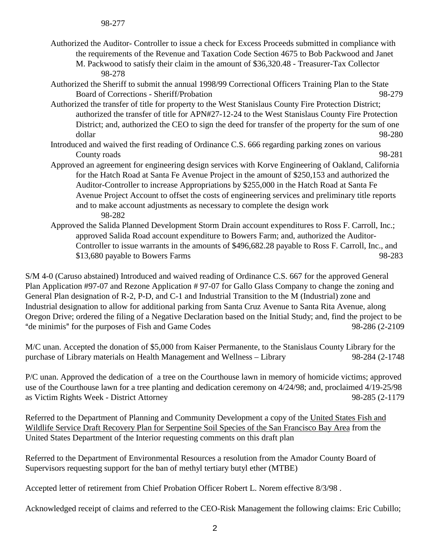- Authorized the Auditor- Controller to issue a check for Excess Proceeds submitted in compliance with the requirements of the Revenue and Taxation Code Section 4675 to Bob Packwood and Janet
	- M. Packwood to satisfy their claim in the amount of \$36,320.48 Treasurer-Tax Collector 98-278
- Authorized the Sheriff to submit the annual 1998/99 Correctional Officers Training Plan to the State Board of Corrections - Sheriff/Probation 98-279
- Authorized the transfer of title for property to the West Stanislaus County Fire Protection District; authorized the transfer of title for APN#27-12-24 to the West Stanislaus County Fire Protection District; and, authorized the CEO to sign the deed for transfer of the property for the sum of one dollar 98-280
- Introduced and waived the first reading of Ordinance C.S. 666 regarding parking zones on various County roads 98-281
- Approved an agreement for engineering design services with Korve Engineering of Oakland, California for the Hatch Road at Santa Fe Avenue Project in the amount of \$250,153 and authorized the Auditor-Controller to increase Appropriations by \$255,000 in the Hatch Road at Santa Fe Avenue Project Account to offset the costs of engineering services and preliminary title reports and to make account adjustments as necessary to complete the design work 98-282
- Approved the Salida Planned Development Storm Drain account expenditures to Ross F. Carroll, Inc.; approved Salida Road account expenditure to Bowers Farm; and, authorized the Auditor-Controller to issue warrants in the amounts of \$496,682.28 payable to Ross F. Carroll, Inc., and \$13,680 payable to Bowers Farms 98-283

S/M 4-0 (Caruso abstained) Introduced and waived reading of Ordinance C.S. 667 for the approved General Plan Application #97-07 and Rezone Application # 97-07 for Gallo Glass Company to change the zoning and General Plan designation of R-2, P-D, and C-1 and Industrial Transition to the M (Industrial) zone and Industrial designation to allow for additional parking from Santa Cruz Avenue to Santa Rita Avenue, along Oregon Drive; ordered the filing of a Negative Declaration based on the Initial Study; and, find the project to be "de minimis" for the purposes of Fish and Game Codes 98-286 (2-2109

M/C unan. Accepted the donation of \$5,000 from Kaiser Permanente, to the Stanislaus County Library for the purchase of Library materials on Health Management and Wellness – Library 98-284 (2-1748

P/C unan. Approved the dedication of a tree on the Courthouse lawn in memory of homicide victims; approved use of the Courthouse lawn for a tree planting and dedication ceremony on 4/24/98; and, proclaimed 4/19-25/98 as Victim Rights Week - District Attorney 98-285 (2-1179

Referred to the Department of Planning and Community Development a copy of the United States Fish and Wildlife Service Draft Recovery Plan for Serpentine Soil Species of the San Francisco Bay Area from the United States Department of the Interior requesting comments on this draft plan

Referred to the Department of Environmental Resources a resolution from the Amador County Board of Supervisors requesting support for the ban of methyl tertiary butyl ether (MTBE)

Accepted letter of retirement from Chief Probation Officer Robert L. Norem effective 8/3/98 .

Acknowledged receipt of claims and referred to the CEO-Risk Management the following claims: Eric Cubillo;